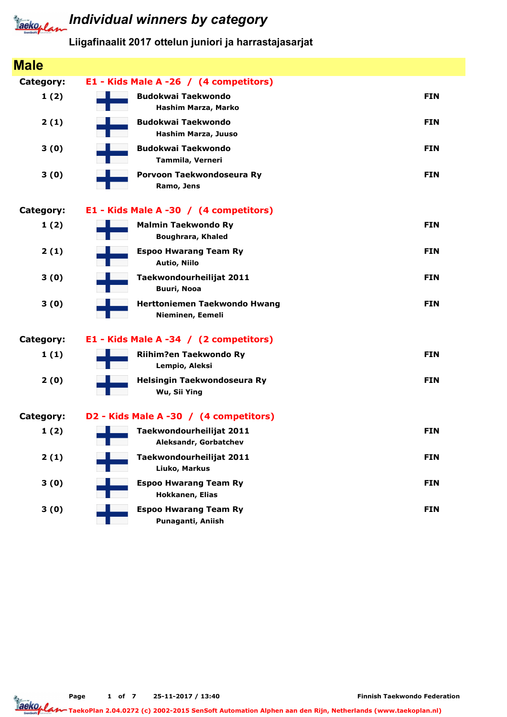

## **Jacko, Land Individual winners by category**

Liigafinaalit 2017 ottelun juniori ja harrastajasarjat

| <b>Male</b>      |                                                        |            |
|------------------|--------------------------------------------------------|------------|
| <b>Category:</b> | E1 - Kids Male A -26 / (4 competitors)                 |            |
| 1(2)             | <b>Budokwai Taekwondo</b><br>Hashim Marza, Marko       | <b>FIN</b> |
| 2(1)             | <b>Budokwai Taekwondo</b><br>Hashim Marza, Juuso       | <b>FIN</b> |
| 3(0)             | <b>Budokwai Taekwondo</b><br>Tammila, Verneri          | <b>FIN</b> |
| 3(0)             | Porvoon Taekwondoseura Ry<br>Ramo, Jens                | <b>FIN</b> |
| <b>Category:</b> | E1 - Kids Male A -30 / (4 competitors)                 |            |
| 1(2)             | <b>Malmin Taekwondo Ry</b><br><b>Boughrara, Khaled</b> | <b>FIN</b> |
| 2(1)             | <b>Espoo Hwarang Team Ry</b><br>Autio, Niilo           | <b>FIN</b> |
| 3(0)             | Taekwondourheilijat 2011<br><b>Buuri, Nooa</b>         | <b>FIN</b> |
| 3(0)             | Herttoniemen Taekwondo Hwang<br>Nieminen, Eemeli       | <b>FIN</b> |
| <b>Category:</b> | E1 - Kids Male A -34 / (2 competitors)                 |            |
| 1(1)             | Riihim?en Taekwondo Ry<br>Lempio, Aleksi               | <b>FIN</b> |
| 2(0)             | Helsingin Taekwondoseura Ry<br>Wu, Sii Ying            | <b>FIN</b> |
| <b>Category:</b> | D2 - Kids Male A -30 / (4 competitors)                 |            |
| 1(2)             | Taekwondourheilijat 2011<br>Aleksandr, Gorbatchev      | <b>FIN</b> |
| 2(1)             | Taekwondourheilijat 2011<br>Liuko, Markus              | <b>FIN</b> |
| 3(0)             | <b>Espoo Hwarang Team Ry</b><br>Hokkanen, Elias        | <b>FIN</b> |
| 3(0)             | <b>Espoo Hwarang Team Ry</b><br>Punaganti, Aniish      | <b>FIN</b> |

Page 1 of 7 25-11-2017 / 13:40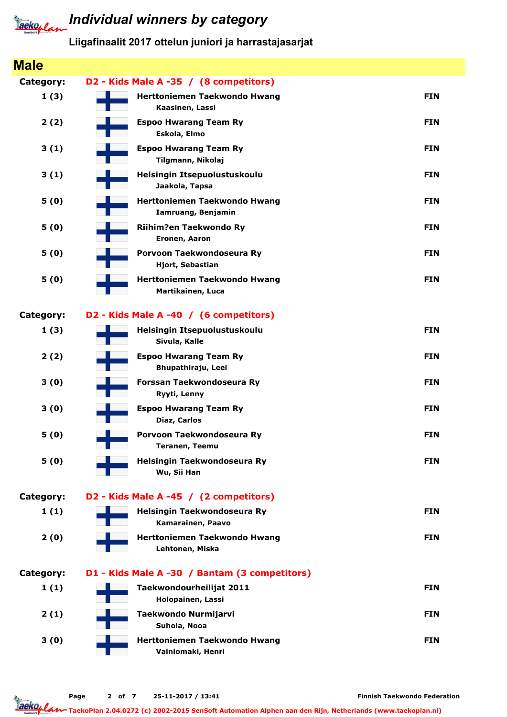

### *Iaeko<sub>plan</sub>* Individual winners by category

Liigafinaalit 2017 ottelun juniori ja harrastajasarjat

| <b>Male</b> |                                                    |            |
|-------------|----------------------------------------------------|------------|
| Category:   | D2 - Kids Male A -35 / (8 competitors)             |            |
| 1(3)        | Herttoniemen Taekwondo Hwang<br>Kaasinen, Lassi    | <b>FIN</b> |
| 2(2)        | <b>Espoo Hwarang Team Ry</b><br>Eskola, Elmo       | <b>FIN</b> |
| 3(1)        | <b>Espoo Hwarang Team Ry</b><br>Tilgmann, Nikolaj  | <b>FIN</b> |
| 3(1)        | Helsingin Itsepuolustuskoulu<br>Jaakola, Tapsa     | <b>FIN</b> |
| 5(0)        | Herttoniemen Taekwondo Hwang<br>Iamruang, Benjamin | <b>FIN</b> |
| 5(0)        | Riihim?en Taekwondo Ry<br>Eronen, Aaron            | <b>FIN</b> |
| 5(0)        | Porvoon Taekwondoseura Ry<br>Hjort, Sebastian      | <b>FIN</b> |
| 5(0)        | Herttoniemen Taekwondo Hwang<br>Martikainen, Luca  | <b>FIN</b> |
| Category:   | D2 - Kids Male A -40 / (6 competitors)             |            |
| 1(3)        | Helsingin Itsepuolustuskoulu<br>Sivula, Kalle      | <b>FIN</b> |
| 2(2)        | <b>Espoo Hwarang Team Ry</b><br>Bhupathiraju, Leel | <b>FIN</b> |
| 3(0)        | Forssan Taekwondoseura Ry<br>Ryyti, Lenny          | <b>FIN</b> |
| 3(0)        | <b>Espoo Hwarang Team Ry</b><br>Diaz, Carlos       | <b>FIN</b> |
| 5(0)        | Porvoon Taekwondoseura Ry<br><b>Teranen, Teemu</b> | <b>FIN</b> |
| 5(0)        | Helsingin Taekwondoseura Ry<br>Wu, Sii Han         | <b>FIN</b> |
| Category:   | D2 - Kids Male A -45 / (2 competitors)             |            |
| 1(1)        | Helsingin Taekwondoseura Ry<br>Kamarainen, Paavo   | <b>FIN</b> |
| 2(0)        | Herttoniemen Taekwondo Hwang<br>Lehtonen, Miska    | <b>FIN</b> |
| Category:   | D1 - Kids Male A -30 / Bantam (3 competitors)      |            |
| 1(1)        | Taekwondourheilijat 2011<br>Holopainen, Lassi      | <b>FIN</b> |
| 2(1)        | Taekwondo Nurmijarvi<br>Suhola, Nooa               | <b>FIN</b> |
| 3(0)        | Herttoniemen Taekwondo Hwang<br>Vainiomaki, Henri  | <b>FIN</b> |

Finnish Taekwondo Federation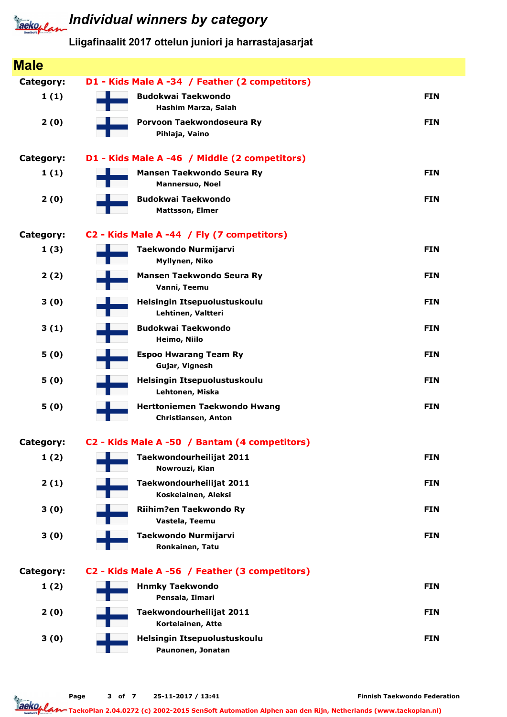# **Tackoplan** Individual winners by category

Liigafinaalit 2017 ottelun juniori ja harrastajasarjat

| <b>Male</b>      |                                                            |            |
|------------------|------------------------------------------------------------|------------|
| <b>Category:</b> | D1 - Kids Male A -34 / Feather (2 competitors)             |            |
| 1(1)             | <b>Budokwai Taekwondo</b><br>Hashim Marza, Salah           | <b>FIN</b> |
| 2(0)             | Porvoon Taekwondoseura Ry<br>Pihlaja, Vaino                | <b>FIN</b> |
| <b>Category:</b> | D1 - Kids Male A -46 / Middle (2 competitors)              |            |
| 1(1)             | <b>Mansen Taekwondo Seura Ry</b><br>Mannersuo, Noel        | <b>FIN</b> |
| 2(0)             | <b>Budokwai Taekwondo</b><br><b>Mattsson, Elmer</b>        | <b>FIN</b> |
| <b>Category:</b> | C2 - Kids Male A -44 / Fly (7 competitors)                 |            |
| 1(3)             | Taekwondo Nurmijarvi<br>Myllynen, Niko                     | <b>FIN</b> |
| 2(2)             | Mansen Taekwondo Seura Ry<br>Vanni, Teemu                  | <b>FIN</b> |
| 3(0)             | Helsingin Itsepuolustuskoulu<br>Lehtinen, Valtteri         | <b>FIN</b> |
| 3(1)             | <b>Budokwai Taekwondo</b><br>Heimo, Niilo                  | <b>FIN</b> |
| 5(0)             | <b>Espoo Hwarang Team Ry</b><br>Gujar, Vignesh             | <b>FIN</b> |
| 5(0)             | Helsingin Itsepuolustuskoulu<br>Lehtonen, Miska            | <b>FIN</b> |
| 5(0)             | <b>Herttoniemen Taekwondo Hwang</b><br>Christiansen, Anton | <b>FIN</b> |
| <b>Category:</b> | C2 - Kids Male A -50 / Bantam (4 competitors)              |            |
| 1(2)             | Taekwondourheilijat 2011<br>Nowrouzi, Kian                 | <b>FIN</b> |
| 2(1)             | Taekwondourheilijat 2011<br>Koskelainen, Aleksi            | <b>FIN</b> |
| 3(0)             | Riihim?en Taekwondo Ry<br>Vastela, Teemu                   | <b>FIN</b> |
| 3(0)             | Taekwondo Nurmijarvi<br>Ronkainen, Tatu                    | <b>FIN</b> |
| <b>Category:</b> | C2 - Kids Male A -56 / Feather (3 competitors)             |            |
| 1(2)             | <b>Hnmky Taekwondo</b><br>Pensala, Ilmari                  | <b>FIN</b> |
| 2(0)             | Taekwondourheilijat 2011<br>Kortelainen, Atte              | <b>FIN</b> |
| 3(0)             | Helsingin Itsepuolustuskoulu<br>Paunonen, Jonatan          | <b>FIN</b> |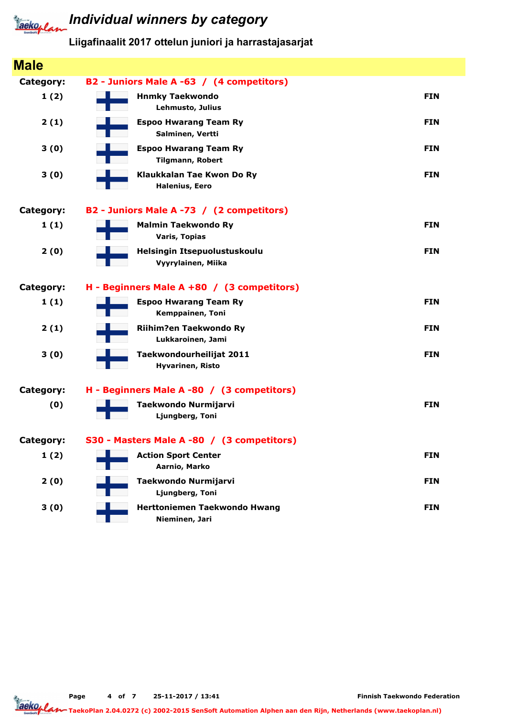

# **Tackoplan** Individual winners by category

Liigafinaalit 2017 ottelun juniori ja harrastajasarjat

| <b>Male</b> |                                                     |            |
|-------------|-----------------------------------------------------|------------|
| Category:   | B2 - Juniors Male A -63 / (4 competitors)           |            |
| 1(2)        | <b>Hnmky Taekwondo</b><br>Lehmusto, Julius          | <b>FIN</b> |
| 2(1)        | <b>Espoo Hwarang Team Ry</b><br>Salminen, Vertti    | <b>FIN</b> |
| 3(0)        | <b>Espoo Hwarang Team Ry</b><br>Tilgmann, Robert    | <b>FIN</b> |
| 3(0)        | Klaukkalan Tae Kwon Do Ry<br><b>Halenius, Eero</b>  | <b>FIN</b> |
| Category:   | B2 - Juniors Male A -73 / (2 competitors)           |            |
| 1(1)        | <b>Malmin Taekwondo Ry</b><br><b>Varis, Topias</b>  | <b>FIN</b> |
| 2(0)        | Helsingin Itsepuolustuskoulu<br>Vyyrylainen, Miika  | <b>FIN</b> |
| Category:   | H - Beginners Male A +80 / (3 competitors)          |            |
| 1(1)        | <b>Espoo Hwarang Team Ry</b><br>Kemppainen, Toni    | <b>FIN</b> |
| 2(1)        | Riihim?en Taekwondo Ry<br>Lukkaroinen, Jami         | <b>FIN</b> |
| 3(0)        | Taekwondourheilijat 2011<br><b>Hyvarinen, Risto</b> | <b>FIN</b> |
| Category:   | H - Beginners Male A -80 / (3 competitors)          |            |
| (0)         | Taekwondo Nurmijarvi<br>Ljungberg, Toni             | <b>FIN</b> |
| Category:   | S30 - Masters Male A -80 / (3 competitors)          |            |
| 1(2)        | <b>Action Sport Center</b><br>Aarnio, Marko         | <b>FIN</b> |
| 2(0)        | Taekwondo Nurmijarvi<br>Ljungberg, Toni             | <b>FIN</b> |
| 3(0)        | Herttoniemen Taekwondo Hwang<br>Nieminen, Jari      | <b>FIN</b> |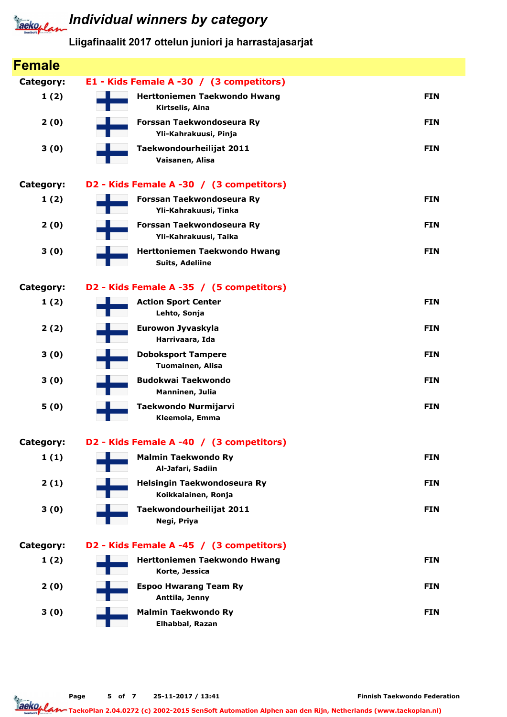

## **Jacko, Land Individual winners by category**

Liigafinaalit 2017 ottelun juniori ja harrastajasarjat

| <b>Female</b>    |                                                        |            |
|------------------|--------------------------------------------------------|------------|
| <b>Category:</b> | E1 - Kids Female A -30 / (3 competitors)               |            |
| 1(2)             | Herttoniemen Taekwondo Hwang<br>Kirtselis, Aina        | <b>FIN</b> |
| 2(0)             | Forssan Taekwondoseura Ry<br>Yli-Kahrakuusi, Pinja     | <b>FIN</b> |
| 3(0)             | Taekwondourheilijat 2011<br>Vaisanen, Alisa            | <b>FIN</b> |
| <b>Category:</b> | D2 - Kids Female A -30 / (3 competitors)               |            |
| 1(2)             | Forssan Taekwondoseura Ry<br>Yli-Kahrakuusi, Tinka     | <b>FIN</b> |
| 2(0)             | Forssan Taekwondoseura Ry<br>Yli-Kahrakuusi, Taika     | <b>FIN</b> |
| 3(0)             | Herttoniemen Taekwondo Hwang<br><b>Suits, Adeliine</b> | <b>FIN</b> |
| <b>Category:</b> | D2 - Kids Female A -35 / (5 competitors)               |            |
| 1(2)             | <b>Action Sport Center</b><br>Lehto, Sonja             | <b>FIN</b> |
| 2(2)             | Eurowon Jyvaskyla<br>Harrivaara, Ida                   | <b>FIN</b> |
| 3(0)             | <b>Doboksport Tampere</b><br>Tuomainen, Alisa          | <b>FIN</b> |
| 3(0)             | <b>Budokwai Taekwondo</b><br>Manninen, Julia           | <b>FIN</b> |
| 5(0)             | Taekwondo Nurmijarvi<br>Kleemola, Emma                 | <b>FIN</b> |
| Category:        | D2 - Kids Female A -40 / (3 competitors)               |            |
| 1(1)             | <b>Malmin Taekwondo Ry</b><br>Al-Jafari, Sadiin        | <b>FIN</b> |
| 2(1)             | Helsingin Taekwondoseura Ry<br>Koikkalainen, Ronja     | <b>FIN</b> |
| 3(0)             | Taekwondourheilijat 2011<br>Negi, Priya                | <b>FIN</b> |
| <b>Category:</b> | D2 - Kids Female A -45 / (3 competitors)               |            |
| 1(2)             | Herttoniemen Taekwondo Hwang<br>Korte, Jessica         | <b>FIN</b> |
| 2(0)             | <b>Espoo Hwarang Team Ry</b><br>Anttila, Jenny         | <b>FIN</b> |
| 3(0)             | <b>Malmin Taekwondo Ry</b><br>Elhabbal, Razan          | <b>FIN</b> |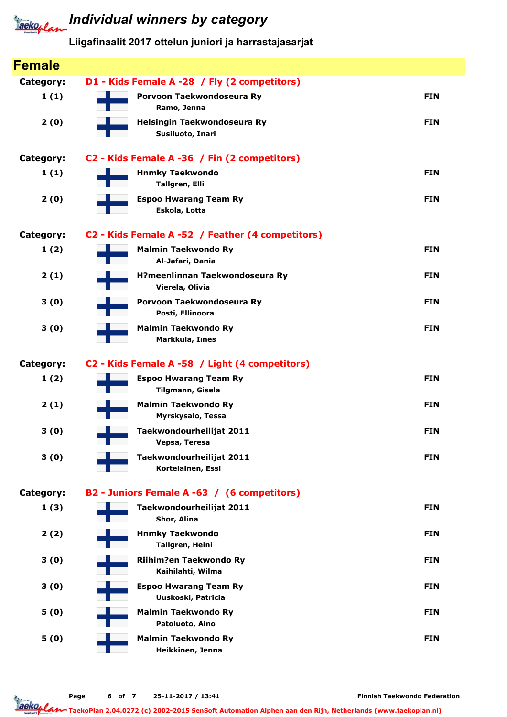# **Tackoplan** Individual winners by category

### Liigafinaalit 2017 ottelun juniori ja harrastajasarjat

| <b>Female</b>    |                                                    |            |
|------------------|----------------------------------------------------|------------|
| <b>Category:</b> | D1 - Kids Female A -28 / Fly (2 competitors)       |            |
| 1(1)             | Porvoon Taekwondoseura Ry<br>Ramo, Jenna           | <b>FIN</b> |
| 2(0)             | Helsingin Taekwondoseura Ry<br>Susiluoto, Inari    | <b>FIN</b> |
| <b>Category:</b> | C2 - Kids Female A -36 / Fin (2 competitors)       |            |
| 1(1)             | <b>Hnmky Taekwondo</b><br>Tallgren, Elli           | <b>FIN</b> |
| 2(0)             | <b>Espoo Hwarang Team Ry</b><br>Eskola, Lotta      | <b>FIN</b> |
| <b>Category:</b> | C2 - Kids Female A -52 / Feather (4 competitors)   |            |
| 1(2)             | <b>Malmin Taekwondo Ry</b><br>Al-Jafari, Dania     | <b>FIN</b> |
| 2(1)             | H?meenlinnan Taekwondoseura Ry<br>Vierela, Olivia  | <b>FIN</b> |
| 3(0)             | Porvoon Taekwondoseura Ry<br>Posti, Ellinoora      | <b>FIN</b> |
| 3(0)             | <b>Malmin Taekwondo Ry</b><br>Markkula, Iines      | <b>FIN</b> |
| <b>Category:</b> | C2 - Kids Female A -58 / Light (4 competitors)     |            |
| 1(2)             | <b>Espoo Hwarang Team Ry</b><br>Tilgmann, Gisela   | <b>FIN</b> |
| 2(1)             | <b>Malmin Taekwondo Ry</b><br>Myrskysalo, Tessa    | <b>FIN</b> |
| 3(0)             | Taekwondourheilijat 2011<br>Vepsa, Teresa          | <b>FIN</b> |
| 3(0)             | Taekwondourheilijat 2011<br>Kortelainen, Essi      | <b>FIN</b> |
| <b>Category:</b> | B2 - Juniors Female A -63 / (6 competitors)        |            |
| 1(3)             | Taekwondourheilijat 2011<br>Shor, Alina            | <b>FIN</b> |
| 2(2)             | <b>Hnmky Taekwondo</b><br>Tallgren, Heini          | <b>FIN</b> |
| 3(0)             | Riihim?en Taekwondo Ry<br>Kaihilahti, Wilma        | <b>FIN</b> |
| 3(0)             | <b>Espoo Hwarang Team Ry</b><br>Uuskoski, Patricia | <b>FIN</b> |
| 5(0)             | <b>Malmin Taekwondo Ry</b><br>Patoluoto, Aino      | <b>FIN</b> |
| 5(0)             | <b>Malmin Taekwondo Ry</b><br>Heikkinen, Jenna     | <b>FIN</b> |